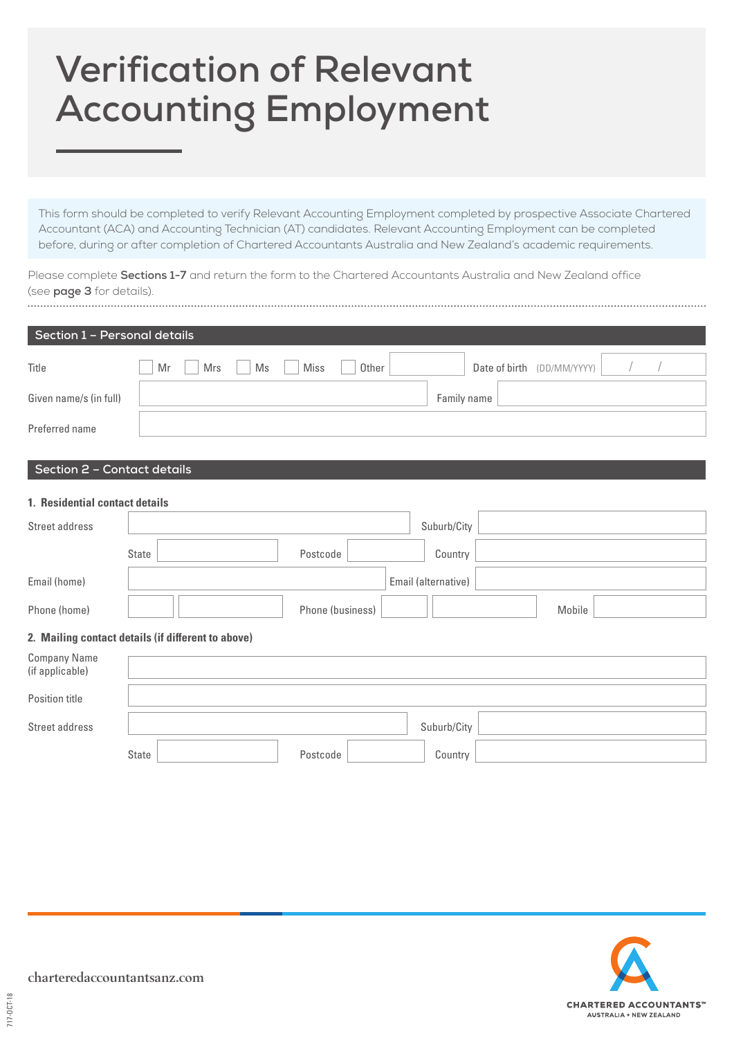# **Verification of Relevant Accounting Employment**

This form should be completed to verify Relevant Accounting Employment completed by prospective Associate Chartered Accountant (ACA) and Accounting Technician (AT) candidates. Relevant Accounting Employment can be completed before, during or after completion of Chartered Accountants Australia and New Zealand's academic requirements.

Please complete **Sections 1-7** and return the form to the Chartered Accountants Australia and New Zealand office (see **page 3** for details). 

| Section 1 - Personal details                       |                  |                      |                            |        |  |  |
|----------------------------------------------------|------------------|----------------------|----------------------------|--------|--|--|
| Title                                              | Mr<br>Mrs<br>Ms  | <b>Miss</b><br>Other | Date of birth (DD/MM/YYYY) |        |  |  |
| Given name/s (in full)                             |                  |                      | Family name                |        |  |  |
| Preferred name                                     |                  |                      |                            |        |  |  |
| Section 2 - Contact details                        |                  |                      |                            |        |  |  |
| 1. Residential contact details                     |                  |                      |                            |        |  |  |
| Street address                                     |                  |                      | Suburb/City                |        |  |  |
|                                                    | <b>State</b>     | Postcode             | Country                    |        |  |  |
| Email (home)                                       |                  |                      | Email (alternative)        |        |  |  |
| Phone (home)                                       | Phone (business) |                      |                            | Mobile |  |  |
| 2. Mailing contact details (if different to above) |                  |                      |                            |        |  |  |
| <b>Company Name</b><br>(if applicable)             |                  |                      |                            |        |  |  |
| Position title                                     |                  |                      |                            |        |  |  |
| Street address                                     |                  |                      | Suburb/City                |        |  |  |
|                                                    | <b>State</b>     | Postcode             | Country                    |        |  |  |

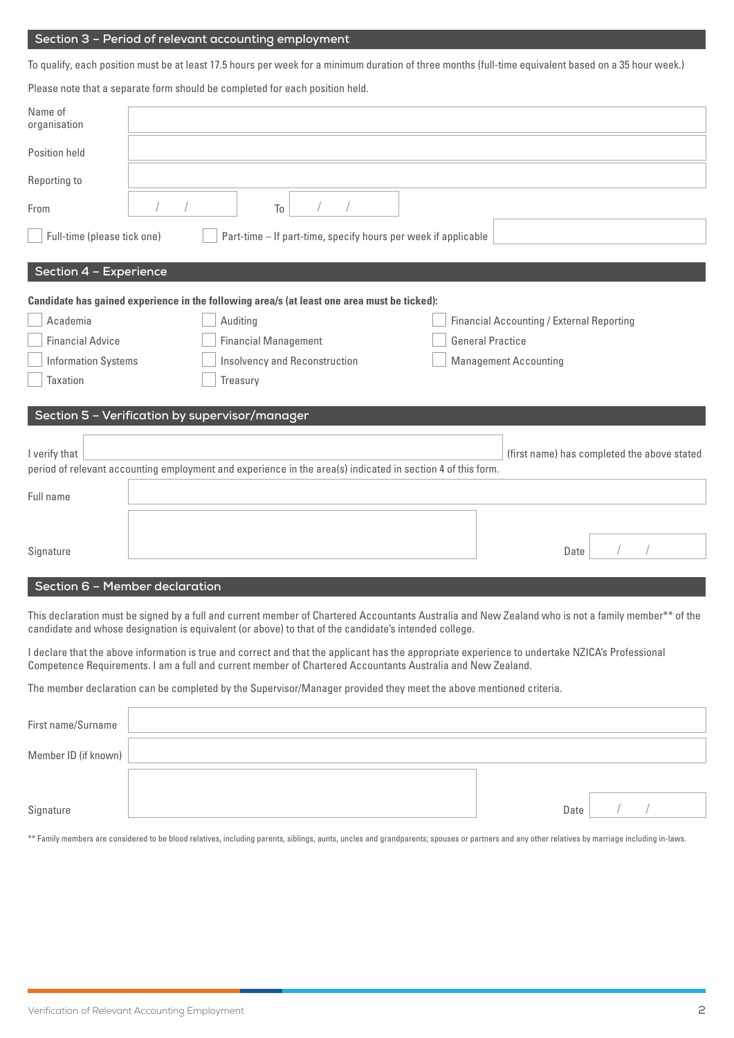#### **Section 3 – Period of relevant accounting employment**

To qualify, each position must be at least 17.5 hours per week for a minimum duration of three months (full-time equivalent based on a 35 hour week.)

Please note that a separate form should be completed for each position held.

| Name of<br>organisation                                                                                                                                                     |                                                                                             |                                                               |  |                                           |      |  |  |
|-----------------------------------------------------------------------------------------------------------------------------------------------------------------------------|---------------------------------------------------------------------------------------------|---------------------------------------------------------------|--|-------------------------------------------|------|--|--|
| Position held                                                                                                                                                               |                                                                                             |                                                               |  |                                           |      |  |  |
| Reporting to                                                                                                                                                                |                                                                                             |                                                               |  |                                           |      |  |  |
| From                                                                                                                                                                        |                                                                                             | To                                                            |  |                                           |      |  |  |
| Full-time (please tick one)<br>Part-time - If part-time, specify hours per week if applicable                                                                               |                                                                                             |                                                               |  |                                           |      |  |  |
| Section 4 - Experience                                                                                                                                                      |                                                                                             |                                                               |  |                                           |      |  |  |
|                                                                                                                                                                             | Candidate has gained experience in the following area/s (at least one area must be ticked): |                                                               |  |                                           |      |  |  |
| Academia                                                                                                                                                                    |                                                                                             | Auditing                                                      |  | Financial Accounting / External Reporting |      |  |  |
| <b>Financial Advice</b>                                                                                                                                                     |                                                                                             | <b>Financial Management</b>                                   |  | <b>General Practice</b>                   |      |  |  |
| <b>Information Systems</b>                                                                                                                                                  |                                                                                             | Insolvency and Reconstruction<br><b>Management Accounting</b> |  |                                           |      |  |  |
| Taxation                                                                                                                                                                    | Treasury                                                                                    |                                                               |  |                                           |      |  |  |
|                                                                                                                                                                             | Section 5 - Verification by supervisor/manager                                              |                                                               |  |                                           |      |  |  |
| I verify that<br>(first name) has completed the above stated<br>period of relevant accounting employment and experience in the area(s) indicated in section 4 of this form. |                                                                                             |                                                               |  |                                           |      |  |  |
| Full name                                                                                                                                                                   |                                                                                             |                                                               |  |                                           |      |  |  |
|                                                                                                                                                                             |                                                                                             |                                                               |  |                                           |      |  |  |
| Signature                                                                                                                                                                   |                                                                                             |                                                               |  |                                           | Date |  |  |
| Section 6 - Member declaration                                                                                                                                              |                                                                                             |                                                               |  |                                           |      |  |  |

This declaration must be signed by a full and current member of Chartered Accountants Australia and New Zealand who is not a family member\*\* of the candidate and whose designation is equivalent (or above) to that of the candidate's intended college.

I declare that the above information is true and correct and that the applicant has the appropriate experience to undertake NZICA's Professional Competence Requirements. I am a full and current member of Chartered Accountants Australia and New Zealand.

The member declaration can be completed by the Supervisor/Manager provided they meet the above mentioned criteria.

| First name/Surname   |      |  |  |
|----------------------|------|--|--|
| Member ID (if known) |      |  |  |
|                      |      |  |  |
| Signature            | Date |  |  |

\*\* Family members are considered to be blood relatives, including parents, siblings, aunts, uncles and grandparents; spouses or partners and any other relatives by marriage including in-laws.